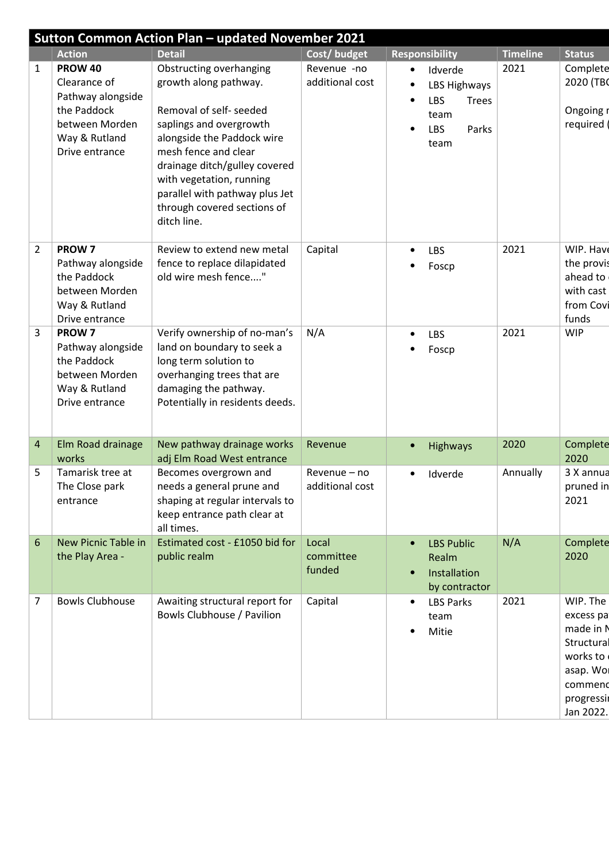|                |                                                                                                                         | <b>Sutton Common Action Plan - updated November 2021</b>                                                                                                                                                                                                                                                         |                                 |                                                                                                                              |                 |                                                                                                                |
|----------------|-------------------------------------------------------------------------------------------------------------------------|------------------------------------------------------------------------------------------------------------------------------------------------------------------------------------------------------------------------------------------------------------------------------------------------------------------|---------------------------------|------------------------------------------------------------------------------------------------------------------------------|-----------------|----------------------------------------------------------------------------------------------------------------|
|                | <b>Action</b>                                                                                                           | <b>Detail</b>                                                                                                                                                                                                                                                                                                    | Cost/budget                     | <b>Responsibility</b>                                                                                                        | <b>Timeline</b> | <b>Status</b>                                                                                                  |
| 1              | <b>PROW 40</b><br>Clearance of<br>Pathway alongside<br>the Paddock<br>between Morden<br>Way & Rutland<br>Drive entrance | <b>Obstructing overhanging</b><br>growth along pathway.<br>Removal of self- seeded<br>saplings and overgrowth<br>alongside the Paddock wire<br>mesh fence and clear<br>drainage ditch/gulley covered<br>with vegetation, running<br>parallel with pathway plus Jet<br>through covered sections of<br>ditch line. | Revenue -no<br>additional cost  | Idverde<br>$\bullet$<br>LBS Highways<br>$\bullet$<br><b>LBS</b><br><b>Trees</b><br>$\bullet$<br>team<br>LBS<br>Parks<br>team | 2021            | Complete<br>2020 (TBO<br>Ongoing r<br>required                                                                 |
| $\overline{2}$ | PROW <sub>7</sub><br>Pathway alongside<br>the Paddock<br>between Morden<br>Way & Rutland<br>Drive entrance              | Review to extend new metal<br>fence to replace dilapidated<br>old wire mesh fence"                                                                                                                                                                                                                               | Capital                         | LBS<br>$\bullet$<br>Foscp                                                                                                    | 2021            | WIP. Have<br>the provis<br>ahead to<br>with cast<br>from Covi<br>funds                                         |
| 3              | PROW <sub>7</sub><br>Pathway alongside<br>the Paddock<br>between Morden<br>Way & Rutland<br>Drive entrance              | Verify ownership of no-man's<br>land on boundary to seek a<br>long term solution to<br>overhanging trees that are<br>damaging the pathway.<br>Potentially in residents deeds.                                                                                                                                    | N/A                             | <b>LBS</b><br>$\bullet$<br>Foscp                                                                                             | 2021            | <b>WIP</b>                                                                                                     |
| 4              | Elm Road drainage<br>works                                                                                              | New pathway drainage works<br>adj Elm Road West entrance                                                                                                                                                                                                                                                         | Revenue                         | <b>Highways</b><br>$\bullet$                                                                                                 | 2020            | Complete<br>2020                                                                                               |
| 5              | Tamarisk tree at<br>The Close park<br>entrance                                                                          | Becomes overgrown and<br>needs a general prune and<br>shaping at regular intervals to<br>keep entrance path clear at<br>all times.                                                                                                                                                                               | Revenue - no<br>additional cost | Idverde                                                                                                                      | Annually        | 3 X annua<br>pruned in<br>2021                                                                                 |
| 6              | New Picnic Table in<br>the Play Area -                                                                                  | Estimated cost - £1050 bid for<br>public realm                                                                                                                                                                                                                                                                   | Local<br>committee<br>funded    | <b>LBS Public</b><br>Realm<br>Installation<br>by contractor                                                                  | N/A             | Complete<br>2020                                                                                               |
| 7              | <b>Bowls Clubhouse</b>                                                                                                  | Awaiting structural report for<br>Bowls Clubhouse / Pavilion                                                                                                                                                                                                                                                     | Capital                         | <b>LBS Parks</b><br>team<br>Mitie                                                                                            | 2021            | WIP. The<br>excess pa<br>made in N<br>Structural<br>works to<br>asap. Wol<br>commend<br>progressi<br>Jan 2022. |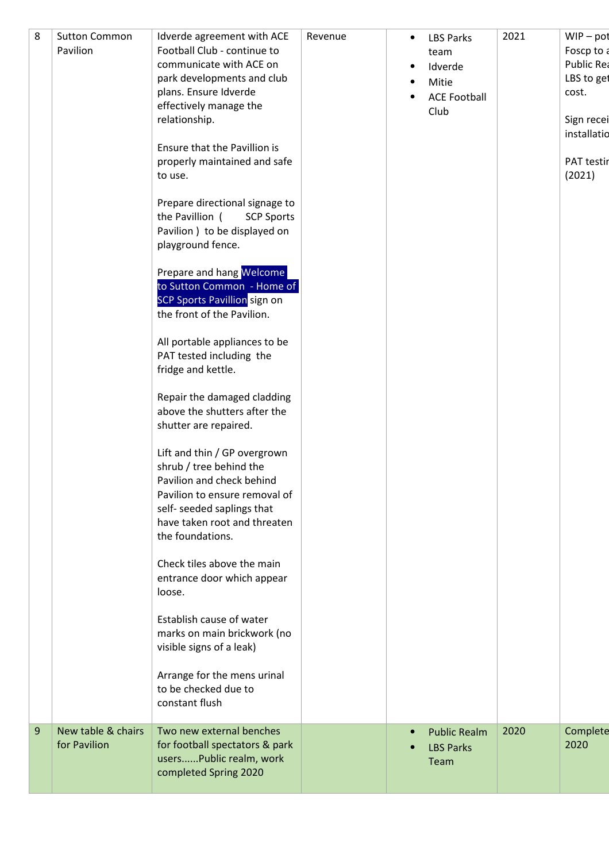| 8 | <b>Sutton Common</b><br>Pavilion   | Idverde agreement with ACE<br>Football Club - continue to<br>communicate with ACE on<br>park developments and club<br>plans. Ensure Idverde<br>effectively manage the<br>relationship.<br>Ensure that the Pavillion is<br>properly maintained and safe<br>to use.<br>Prepare directional signage to<br>the Pavillion (<br><b>SCP Sports</b><br>Pavilion ) to be displayed on<br>playground fence.<br>Prepare and hang Welcome<br>to Sutton Common - Home of<br><b>SCP Sports Pavillion</b> sign on<br>the front of the Pavilion.<br>All portable appliances to be<br>PAT tested including the<br>fridge and kettle.<br>Repair the damaged cladding<br>above the shutters after the<br>shutter are repaired.<br>Lift and thin / GP overgrown<br>shrub / tree behind the<br>Pavilion and check behind<br>Pavilion to ensure removal of<br>self- seeded saplings that<br>have taken root and threaten<br>the foundations.<br>Check tiles above the main<br>entrance door which appear<br>loose.<br>Establish cause of water<br>marks on main brickwork (no<br>visible signs of a leak)<br>Arrange for the mens urinal | Revenue | $\bullet$<br>$\bullet$<br>٠ | <b>LBS Parks</b><br>team<br>Idverde<br>Mitie<br><b>ACE Football</b><br>Club | 2021 | $WIP - pot$<br>Foscp to a<br>Public Rea<br>LBS to get<br>cost.<br>Sign recei<br>installatio<br>PAT testir<br>(2021) |  |
|---|------------------------------------|--------------------------------------------------------------------------------------------------------------------------------------------------------------------------------------------------------------------------------------------------------------------------------------------------------------------------------------------------------------------------------------------------------------------------------------------------------------------------------------------------------------------------------------------------------------------------------------------------------------------------------------------------------------------------------------------------------------------------------------------------------------------------------------------------------------------------------------------------------------------------------------------------------------------------------------------------------------------------------------------------------------------------------------------------------------------------------------------------------------------|---------|-----------------------------|-----------------------------------------------------------------------------|------|---------------------------------------------------------------------------------------------------------------------|--|
| 9 | New table & chairs<br>for Pavilion | to be checked due to<br>constant flush<br>Two new external benches<br>for football spectators & park<br>usersPublic realm, work<br>completed Spring 2020                                                                                                                                                                                                                                                                                                                                                                                                                                                                                                                                                                                                                                                                                                                                                                                                                                                                                                                                                           |         | $\bullet$                   | <b>Public Realm</b><br><b>LBS Parks</b><br>Team                             | 2020 | Complete<br>2020                                                                                                    |  |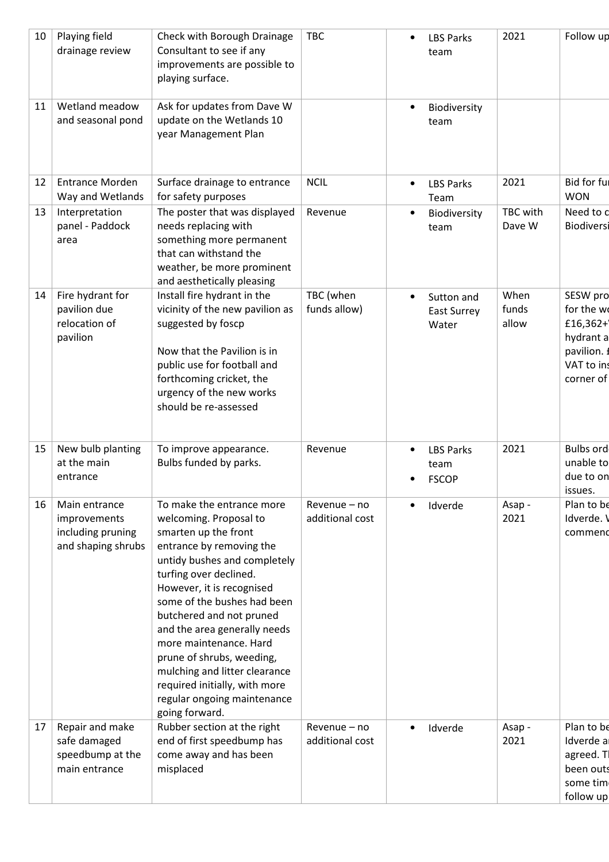| 10 | Playing field<br>drainage review                                         | Check with Borough Drainage<br>Consultant to see if any<br>improvements are possible to<br>playing surface.                                                                                                                                                                                                                                                                                                                                                         | <b>TBC</b>                      | $\bullet$ | <b>LBS Parks</b><br>team                 | 2021                   | Follow up                                                                                |
|----|--------------------------------------------------------------------------|---------------------------------------------------------------------------------------------------------------------------------------------------------------------------------------------------------------------------------------------------------------------------------------------------------------------------------------------------------------------------------------------------------------------------------------------------------------------|---------------------------------|-----------|------------------------------------------|------------------------|------------------------------------------------------------------------------------------|
| 11 | Wetland meadow<br>and seasonal pond                                      | Ask for updates from Dave W<br>update on the Wetlands 10<br>year Management Plan                                                                                                                                                                                                                                                                                                                                                                                    |                                 | $\bullet$ | Biodiversity<br>team                     |                        |                                                                                          |
| 12 | <b>Entrance Morden</b><br>Way and Wetlands                               | Surface drainage to entrance<br>for safety purposes                                                                                                                                                                                                                                                                                                                                                                                                                 | <b>NCIL</b>                     | $\bullet$ | <b>LBS Parks</b><br>Team                 | 2021                   | Bid for ful<br><b>WON</b>                                                                |
| 13 | Interpretation<br>panel - Paddock<br>area                                | The poster that was displayed<br>needs replacing with<br>something more permanent<br>that can withstand the<br>weather, be more prominent<br>and aesthetically pleasing                                                                                                                                                                                                                                                                                             | Revenue                         | $\bullet$ | Biodiversity<br>team                     | TBC with<br>Dave W     | Need to c<br>Biodiversi                                                                  |
| 14 | Fire hydrant for<br>pavilion due<br>relocation of<br>pavilion            | Install fire hydrant in the<br>vicinity of the new pavilion as<br>suggested by foscp<br>Now that the Pavilion is in<br>public use for football and<br>forthcoming cricket, the<br>urgency of the new works<br>should be re-assessed                                                                                                                                                                                                                                 | TBC (when<br>funds allow)       | $\bullet$ | Sutton and<br>East Surrey<br>Water       | When<br>funds<br>allow | SESW pro<br>for the w<br>£16,362+<br>hydrant a<br>pavilion. f<br>VAT to ins<br>corner of |
| 15 | New bulb planting<br>at the main<br>entrance                             | To improve appearance.<br>Bulbs funded by parks.                                                                                                                                                                                                                                                                                                                                                                                                                    | Revenue                         | $\bullet$ | <b>LBS Parks</b><br>team<br><b>FSCOP</b> | 2021                   | <b>Bulbs ord</b><br>unable to<br>due to on<br>issues.                                    |
| 16 | Main entrance<br>improvements<br>including pruning<br>and shaping shrubs | To make the entrance more<br>welcoming. Proposal to<br>smarten up the front<br>entrance by removing the<br>untidy bushes and completely<br>turfing over declined.<br>However, it is recognised<br>some of the bushes had been<br>butchered and not pruned<br>and the area generally needs<br>more maintenance. Hard<br>prune of shrubs, weeding,<br>mulching and litter clearance<br>required initially, with more<br>regular ongoing maintenance<br>going forward. | Revenue – no<br>additional cost | $\bullet$ | Idverde                                  | Asap -<br>2021         | Plan to be<br>Idverde. V<br>commend                                                      |
| 17 | Repair and make<br>safe damaged<br>speedbump at the<br>main entrance     | Rubber section at the right<br>end of first speedbump has<br>come away and has been<br>misplaced                                                                                                                                                                                                                                                                                                                                                                    | Revenue - no<br>additional cost |           | Idverde                                  | Asap -<br>2021         | Plan to be<br>Idverde a<br>agreed. Tl<br>been outs<br>some tim<br>follow up              |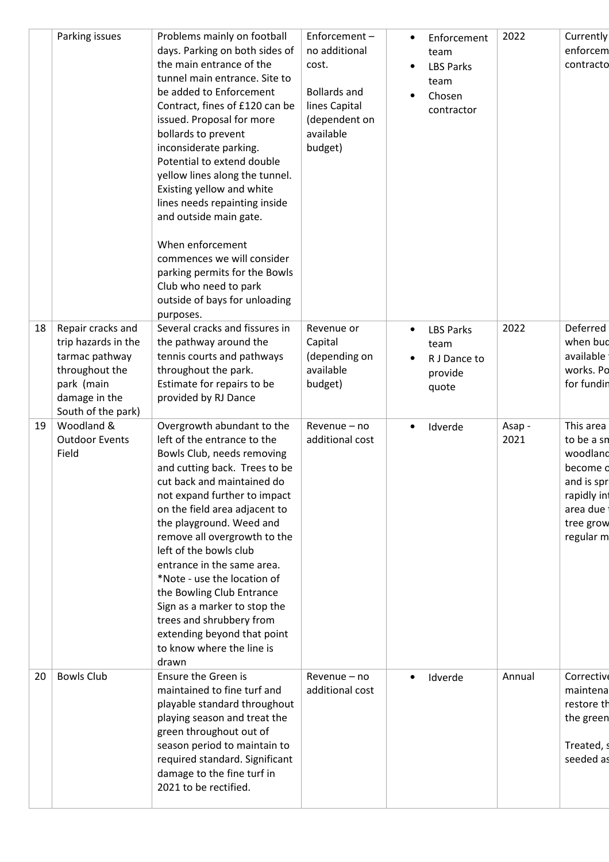|    | Parking issues                                                                                                                    | Problems mainly on football<br>days. Parking on both sides of<br>the main entrance of the<br>tunnel main entrance. Site to<br>be added to Enforcement<br>Contract, fines of £120 can be<br>issued. Proposal for more<br>bollards to prevent<br>inconsiderate parking.<br>Potential to extend double<br>yellow lines along the tunnel.<br>Existing yellow and white<br>lines needs repainting inside<br>and outside main gate.<br>When enforcement<br>commences we will consider<br>parking permits for the Bowls<br>Club who need to park<br>outside of bays for unloading<br>purposes. | Enforcement-<br>no additional<br>cost.<br><b>Bollards and</b><br>lines Capital<br>(dependent on<br>available<br>budget) | Enforcement<br>$\bullet$<br>team<br><b>LBS Parks</b><br>$\bullet$<br>team<br>Chosen<br>$\bullet$<br>contractor | 2022           | Currently<br>enforcem<br>contracto                                                                                |
|----|-----------------------------------------------------------------------------------------------------------------------------------|-----------------------------------------------------------------------------------------------------------------------------------------------------------------------------------------------------------------------------------------------------------------------------------------------------------------------------------------------------------------------------------------------------------------------------------------------------------------------------------------------------------------------------------------------------------------------------------------|-------------------------------------------------------------------------------------------------------------------------|----------------------------------------------------------------------------------------------------------------|----------------|-------------------------------------------------------------------------------------------------------------------|
| 18 | Repair cracks and<br>trip hazards in the<br>tarmac pathway<br>throughout the<br>park (main<br>damage in the<br>South of the park) | Several cracks and fissures in<br>the pathway around the<br>tennis courts and pathways<br>throughout the park.<br>Estimate for repairs to be<br>provided by RJ Dance                                                                                                                                                                                                                                                                                                                                                                                                                    | Revenue or<br>Capital<br>(depending on<br>available<br>budget)                                                          | <b>LBS Parks</b><br>$\bullet$<br>team<br>R J Dance to<br>$\bullet$<br>provide<br>quote                         | 2022           | Deferred<br>when bud<br>available<br>works. Po<br>for fundin                                                      |
| 19 | Woodland &<br><b>Outdoor Events</b><br>Field                                                                                      | Overgrowth abundant to the<br>left of the entrance to the<br>Bowls Club, needs removing<br>and cutting back. Trees to be<br>cut back and maintained do<br>not expand further to impact<br>on the field area adjacent to<br>the playground. Weed and<br>remove all overgrowth to the<br>left of the bowls club<br>entrance in the same area.<br>*Note - use the location of<br>the Bowling Club Entrance<br>Sign as a marker to stop the<br>trees and shrubbery from<br>extending beyond that point<br>to know where the line is<br>drawn                                                | Revenue - no<br>additional cost                                                                                         | Idverde<br>$\bullet$                                                                                           | Asap -<br>2021 | This area<br>to be a sn<br>woodland<br>become d<br>and is spr<br>rapidly in<br>area due<br>tree grow<br>regular m |
| 20 | <b>Bowls Club</b>                                                                                                                 | Ensure the Green is<br>maintained to fine turf and<br>playable standard throughout<br>playing season and treat the<br>green throughout out of<br>season period to maintain to<br>required standard. Significant<br>damage to the fine turf in<br>2021 to be rectified.                                                                                                                                                                                                                                                                                                                  | Revenue - no<br>additional cost                                                                                         | Idverde<br>$\bullet$                                                                                           | Annual         | Corrective<br>maintena<br>restore th<br>the green<br>Treated, s<br>seeded as                                      |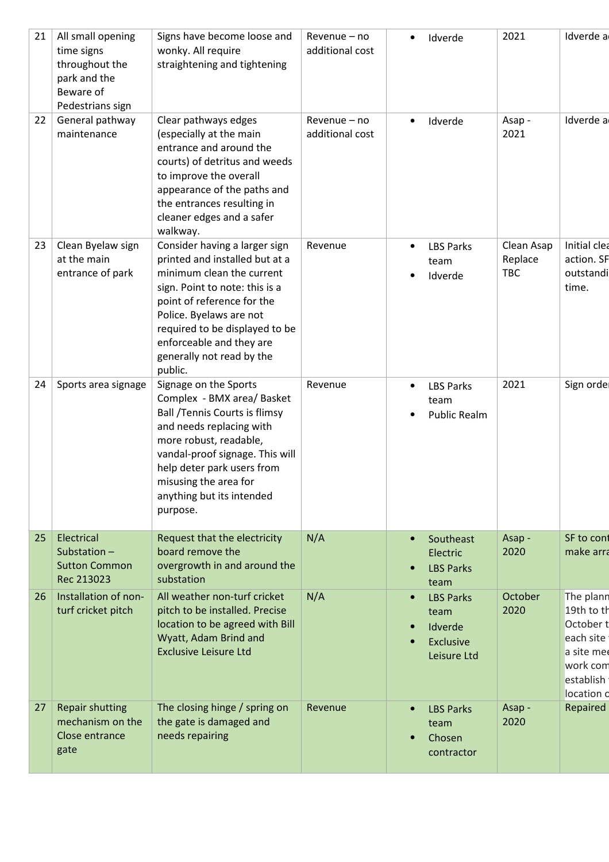| 21 | All small opening<br>time signs<br>throughout the<br>park and the<br>Beware of<br>Pedestrians sign | Signs have become loose and<br>wonky. All require<br>straightening and tightening                                                                                                                                                                                                             | Revenue - no<br>additional cost | Idverde<br>٠                                                                                           | 2021                                | Idverde a                                                                                              |
|----|----------------------------------------------------------------------------------------------------|-----------------------------------------------------------------------------------------------------------------------------------------------------------------------------------------------------------------------------------------------------------------------------------------------|---------------------------------|--------------------------------------------------------------------------------------------------------|-------------------------------------|--------------------------------------------------------------------------------------------------------|
| 22 | General pathway<br>maintenance                                                                     | Clear pathways edges<br>(especially at the main<br>entrance and around the<br>courts) of detritus and weeds<br>to improve the overall<br>appearance of the paths and<br>the entrances resulting in<br>cleaner edges and a safer<br>walkway.                                                   | Revenue - no<br>additional cost | Idverde<br>$\bullet$                                                                                   | Asap -<br>2021                      | Idverde a                                                                                              |
| 23 | Clean Byelaw sign<br>at the main<br>entrance of park                                               | Consider having a larger sign<br>printed and installed but at a<br>minimum clean the current<br>sign. Point to note: this is a<br>point of reference for the<br>Police. Byelaws are not<br>required to be displayed to be<br>enforceable and they are<br>generally not read by the<br>public. | Revenue                         | <b>LBS Parks</b><br>$\bullet$<br>team<br>Idverde                                                       | Clean Asap<br>Replace<br><b>TBC</b> | Initial clea<br>action. SF<br>outstandi<br>time.                                                       |
| 24 | Sports area signage                                                                                | Signage on the Sports<br>Complex - BMX area/ Basket<br><b>Ball /Tennis Courts is flimsy</b><br>and needs replacing with<br>more robust, readable,<br>vandal-proof signage. This will<br>help deter park users from<br>misusing the area for<br>anything but its intended<br>purpose.          | Revenue                         | <b>LBS Parks</b><br>٠<br>team<br><b>Public Realm</b>                                                   | 2021                                | Sign ordel                                                                                             |
| 25 | Electrical<br>Substation-<br><b>Sutton Common</b><br>Rec 213023                                    | Request that the electricity<br>board remove the<br>overgrowth in and around the<br>substation                                                                                                                                                                                                | N/A                             | Southeast<br>$\bullet$<br>Electric<br><b>LBS Parks</b><br>$\bullet$<br>team                            | Asap -<br>2020                      | SF to cont<br>make arra                                                                                |
| 26 | Installation of non-<br>turf cricket pitch                                                         | All weather non-turf cricket<br>pitch to be installed. Precise<br>location to be agreed with Bill<br>Wyatt, Adam Brind and<br><b>Exclusive Leisure Ltd</b>                                                                                                                                    | N/A                             | <b>LBS Parks</b><br>$\bullet$<br>team<br>Idverde<br>$\bullet$<br>Exclusive<br>$\bullet$<br>Leisure Ltd | October<br>2020                     | The plann<br>19th to th<br>October t<br>each site<br>a site mee<br>work com<br>establish<br>location o |
| 27 | <b>Repair shutting</b><br>mechanism on the<br>Close entrance<br>gate                               | The closing hinge / spring on<br>the gate is damaged and<br>needs repairing                                                                                                                                                                                                                   | Revenue                         | <b>LBS Parks</b><br>$\bullet$<br>team<br>Chosen<br>$\bullet$<br>contractor                             | Asap -<br>2020                      | Repaired                                                                                               |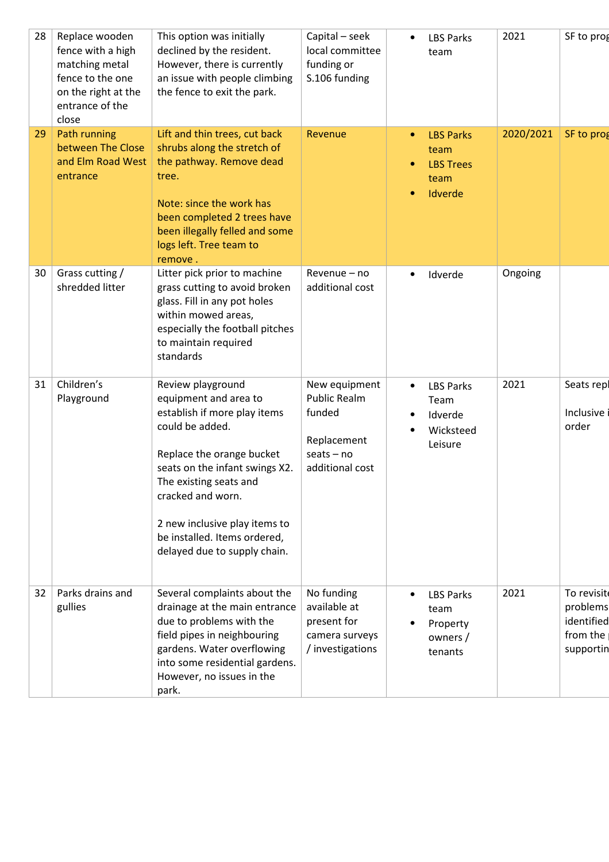| 28 | Replace wooden<br>fence with a high<br>matching metal<br>fence to the one<br>on the right at the<br>entrance of the<br>close | This option was initially<br>declined by the resident.<br>However, there is currently<br>an issue with people climbing<br>the fence to exit the park.                                                                                                                                                        | Capital - seek<br>local committee<br>funding or<br>S.106 funding                                 | <b>LBS Parks</b><br>$\bullet$<br>team                                        | 2021      | SF to prog                                                    |
|----|------------------------------------------------------------------------------------------------------------------------------|--------------------------------------------------------------------------------------------------------------------------------------------------------------------------------------------------------------------------------------------------------------------------------------------------------------|--------------------------------------------------------------------------------------------------|------------------------------------------------------------------------------|-----------|---------------------------------------------------------------|
| 29 | Path running<br>between The Close<br>and Elm Road West<br>entrance                                                           | Lift and thin trees, cut back<br>shrubs along the stretch of<br>the pathway. Remove dead<br>tree.<br>Note: since the work has<br>been completed 2 trees have<br>been illegally felled and some<br>logs left. Tree team to<br>remove.                                                                         | Revenue                                                                                          | <b>LBS Parks</b><br>team<br><b>LBS Trees</b><br>team<br>Idverde<br>$\bullet$ | 2020/2021 | SF to prog                                                    |
| 30 | Grass cutting /<br>shredded litter                                                                                           | Litter pick prior to machine<br>grass cutting to avoid broken<br>glass. Fill in any pot holes<br>within mowed areas,<br>especially the football pitches<br>to maintain required<br>standards                                                                                                                 | Revenue - no<br>additional cost                                                                  | Idverde                                                                      | Ongoing   |                                                               |
| 31 | Children's<br>Playground                                                                                                     | Review playground<br>equipment and area to<br>establish if more play items<br>could be added.<br>Replace the orange bucket<br>seats on the infant swings X2.<br>The existing seats and<br>cracked and worn.<br>2 new inclusive play items to<br>be installed. Items ordered,<br>delayed due to supply chain. | New equipment<br><b>Public Realm</b><br>funded<br>Replacement<br>$seats - no$<br>additional cost | <b>LBS Parks</b><br>٠<br>Team<br>Idverde<br>Wicksteed<br>Leisure             | 2021      | Seats repl<br>Inclusive<br>order                              |
| 32 | Parks drains and<br>gullies                                                                                                  | Several complaints about the<br>drainage at the main entrance<br>due to problems with the<br>field pipes in neighbouring<br>gardens. Water overflowing<br>into some residential gardens.<br>However, no issues in the<br>park.                                                                               | No funding<br>available at<br>present for<br>camera surveys<br>/ investigations                  | <b>LBS Parks</b><br>team<br>Property<br>owners /<br>tenants                  | 2021      | To revisit<br>problems<br>identified<br>from the<br>supportin |